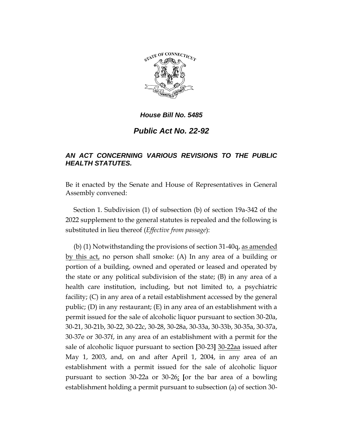

## *Public Act No. 22-92*

## *AN ACT CONCERNING VARIOUS REVISIONS TO THE PUBLIC HEALTH STATUTES.*

Be it enacted by the Senate and House of Representatives in General Assembly convened:

Section 1. Subdivision (1) of subsection (b) of section 19a-342 of the 2022 supplement to the general statutes is repealed and the following is substituted in lieu thereof (*Effective from passage*):

(b) (1) Notwithstanding the provisions of section 31-40q, as amended by this act, no person shall smoke: (A) In any area of a building or portion of a building, owned and operated or leased and operated by the state or any political subdivision of the state; (B) in any area of a health care institution, including, but not limited to, a psychiatric facility; (C) in any area of a retail establishment accessed by the general public; (D) in any restaurant; (E) in any area of an establishment with a permit issued for the sale of alcoholic liquor pursuant to section 30-20a, 30-21, 30-21b, 30-22, 30-22c, 30-28, 30-28a, 30-33a, 30-33b, 30-35a, 30-37a, 30-37e or 30-37f, in any area of an establishment with a permit for the sale of alcoholic liquor pursuant to section **[**30-23**]** 30-22aa issued after May 1, 2003, and, on and after April 1, 2004, in any area of an establishment with a permit issued for the sale of alcoholic liquor pursuant to section 30-22a or 30-26; **[**or the bar area of a bowling establishment holding a permit pursuant to subsection (a) of section 30-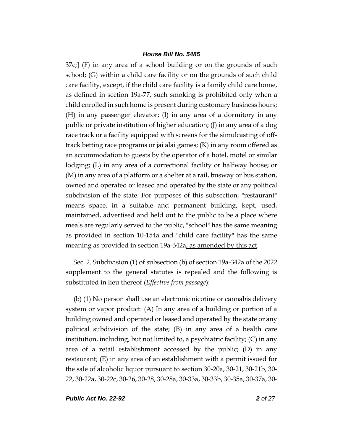37c;**]** (F) in any area of a school building or on the grounds of such school; (G) within a child care facility or on the grounds of such child care facility, except, if the child care facility is a family child care home, as defined in section 19a-77, such smoking is prohibited only when a child enrolled in such home is present during customary business hours; (H) in any passenger elevator; (I) in any area of a dormitory in any public or private institution of higher education; (J) in any area of a dog race track or a facility equipped with screens for the simulcasting of offtrack betting race programs or jai alai games; (K) in any room offered as an accommodation to guests by the operator of a hotel, motel or similar lodging; (L) in any area of a correctional facility or halfway house; or (M) in any area of a platform or a shelter at a rail, busway or bus station, owned and operated or leased and operated by the state or any political subdivision of the state. For purposes of this subsection, "restaurant" means space, in a suitable and permanent building, kept, used, maintained, advertised and held out to the public to be a place where meals are regularly served to the public, "school" has the same meaning as provided in section 10-154a and "child care facility" has the same meaning as provided in section 19a-342a, as amended by this act.

Sec. 2. Subdivision (1) of subsection (b) of section 19a-342a of the 2022 supplement to the general statutes is repealed and the following is substituted in lieu thereof (*Effective from passage*):

(b) (1) No person shall use an electronic nicotine or cannabis delivery system or vapor product: (A) In any area of a building or portion of a building owned and operated or leased and operated by the state or any political subdivision of the state; (B) in any area of a health care institution, including, but not limited to, a psychiatric facility; (C) in any area of a retail establishment accessed by the public; (D) in any restaurant; (E) in any area of an establishment with a permit issued for the sale of alcoholic liquor pursuant to section 30-20a, 30-21, 30-21b, 30- 22, 30-22a, 30-22c, 30-26, 30-28, 30-28a, 30-33a, 30-33b, 30-35a, 30-37a, 30-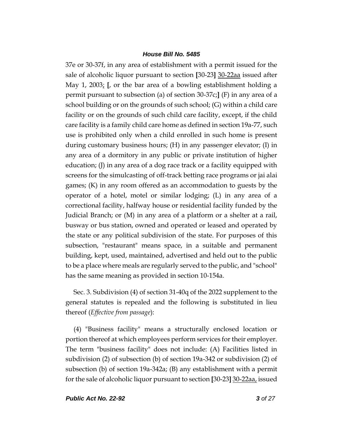37e or 30-37f, in any area of establishment with a permit issued for the sale of alcoholic liquor pursuant to section **[**30-23**]** 30-22aa issued after May 1, 2003; **[**, or the bar area of a bowling establishment holding a permit pursuant to subsection (a) of section 30-37c;**]** (F) in any area of a school building or on the grounds of such school; (G) within a child care facility or on the grounds of such child care facility, except, if the child care facility is a family child care home as defined in section 19a-77, such use is prohibited only when a child enrolled in such home is present during customary business hours; (H) in any passenger elevator; (I) in any area of a dormitory in any public or private institution of higher education; (J) in any area of a dog race track or a facility equipped with screens for the simulcasting of off-track betting race programs or jai alai games; (K) in any room offered as an accommodation to guests by the operator of a hotel, motel or similar lodging; (L) in any area of a correctional facility, halfway house or residential facility funded by the Judicial Branch; or (M) in any area of a platform or a shelter at a rail, busway or bus station, owned and operated or leased and operated by the state or any political subdivision of the state. For purposes of this subsection, "restaurant" means space, in a suitable and permanent building, kept, used, maintained, advertised and held out to the public to be a place where meals are regularly served to the public, and "school" has the same meaning as provided in section 10-154a.

Sec. 3. Subdivision (4) of section 31-40q of the 2022 supplement to the general statutes is repealed and the following is substituted in lieu thereof (*Effective from passage*):

(4) "Business facility" means a structurally enclosed location or portion thereof at which employees perform services for their employer. The term "business facility" does not include: (A) Facilities listed in subdivision (2) of subsection (b) of section 19a-342 or subdivision (2) of subsection (b) of section 19a-342a; (B) any establishment with a permit for the sale of alcoholic liquor pursuant to section **[**30-23**]** 30-22aa, issued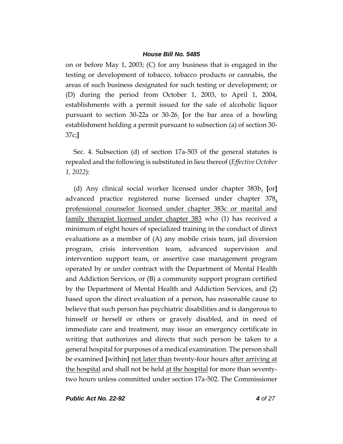on or before May 1, 2003; (C) for any business that is engaged in the testing or development of tobacco, tobacco products or cannabis, the areas of such business designated for such testing or development; or (D) during the period from October 1, 2003, to April 1, 2004, establishments with a permit issued for the sale of alcoholic liquor pursuant to section 30-22a or 30-26. **[**or the bar area of a bowling establishment holding a permit pursuant to subsection (a) of section 30- 37c;**]**

Sec. 4. Subsection (d) of section 17a-503 of the general statutes is repealed and the following is substituted in lieu thereof (*Effective October 1, 2022*):

(d) Any clinical social worker licensed under chapter 383b, **[**or**]** advanced practice registered nurse licensed under chapter 378, professional counselor licensed under chapter 383c or marital and family therapist licensed under chapter 383 who (1) has received a minimum of eight hours of specialized training in the conduct of direct evaluations as a member of (A) any mobile crisis team, jail diversion program, crisis intervention team, advanced supervision and intervention support team, or assertive case management program operated by or under contract with the Department of Mental Health and Addiction Services, or (B) a community support program certified by the Department of Mental Health and Addiction Services, and (2) based upon the direct evaluation of a person, has reasonable cause to believe that such person has psychiatric disabilities and is dangerous to himself or herself or others or gravely disabled, and in need of immediate care and treatment, may issue an emergency certificate in writing that authorizes and directs that such person be taken to a general hospital for purposes of a medical examination. The person shall be examined **[**within**]** not later than twenty-four hours after arriving at the hospital and shall not be held at the hospital for more than seventytwo hours unless committed under section 17a-502. The Commissioner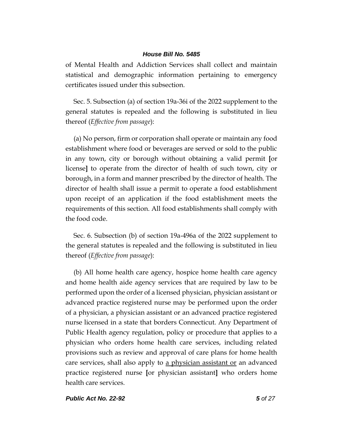of Mental Health and Addiction Services shall collect and maintain statistical and demographic information pertaining to emergency certificates issued under this subsection.

Sec. 5. Subsection (a) of section 19a-36i of the 2022 supplement to the general statutes is repealed and the following is substituted in lieu thereof (*Effective from passage*):

(a) No person, firm or corporation shall operate or maintain any food establishment where food or beverages are served or sold to the public in any town, city or borough without obtaining a valid permit **[**or license**]** to operate from the director of health of such town, city or borough, in a form and manner prescribed by the director of health. The director of health shall issue a permit to operate a food establishment upon receipt of an application if the food establishment meets the requirements of this section. All food establishments shall comply with the food code.

Sec. 6. Subsection (b) of section 19a-496a of the 2022 supplement to the general statutes is repealed and the following is substituted in lieu thereof (*Effective from passage*):

(b) All home health care agency, hospice home health care agency and home health aide agency services that are required by law to be performed upon the order of a licensed physician, physician assistant or advanced practice registered nurse may be performed upon the order of a physician, a physician assistant or an advanced practice registered nurse licensed in a state that borders Connecticut. Any Department of Public Health agency regulation, policy or procedure that applies to a physician who orders home health care services, including related provisions such as review and approval of care plans for home health care services, shall also apply to a physician assistant or an advanced practice registered nurse **[**or physician assistant**]** who orders home health care services.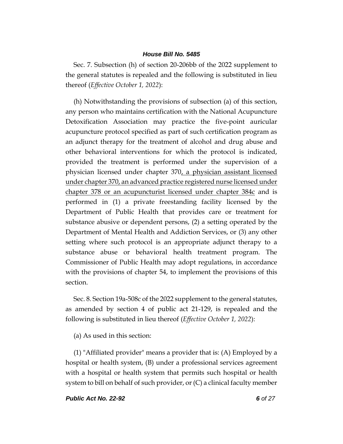Sec. 7. Subsection (h) of section 20-206bb of the 2022 supplement to the general statutes is repealed and the following is substituted in lieu thereof (*Effective October 1, 2022*):

(h) Notwithstanding the provisions of subsection (a) of this section, any person who maintains certification with the National Acupuncture Detoxification Association may practice the five-point auricular acupuncture protocol specified as part of such certification program as an adjunct therapy for the treatment of alcohol and drug abuse and other behavioral interventions for which the protocol is indicated, provided the treatment is performed under the supervision of a physician licensed under chapter 370, a physician assistant licensed under chapter 370, an advanced practice registered nurse licensed under chapter 378 or an acupuncturist licensed under chapter  $384c$  and is performed in (1) a private freestanding facility licensed by the Department of Public Health that provides care or treatment for substance abusive or dependent persons, (2) a setting operated by the Department of Mental Health and Addiction Services, or (3) any other setting where such protocol is an appropriate adjunct therapy to a substance abuse or behavioral health treatment program. The Commissioner of Public Health may adopt regulations, in accordance with the provisions of chapter 54, to implement the provisions of this section.

Sec. 8. Section 19a-508c of the 2022 supplement to the general statutes, as amended by section 4 of public act 21-129, is repealed and the following is substituted in lieu thereof (*Effective October 1, 2022*):

(a) As used in this section:

(1) "Affiliated provider" means a provider that is: (A) Employed by a hospital or health system, (B) under a professional services agreement with a hospital or health system that permits such hospital or health system to bill on behalf of such provider, or (C) a clinical faculty member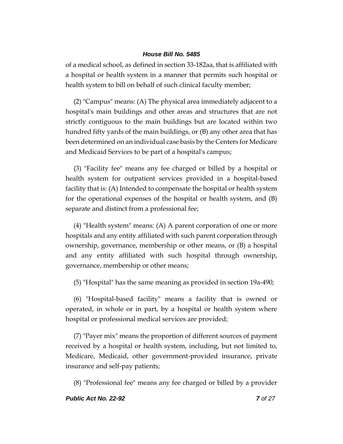of a medical school, as defined in section 33-182aa, that is affiliated with a hospital or health system in a manner that permits such hospital or health system to bill on behalf of such clinical faculty member;

(2) "Campus" means: (A) The physical area immediately adjacent to a hospital's main buildings and other areas and structures that are not strictly contiguous to the main buildings but are located within two hundred fifty yards of the main buildings, or (B) any other area that has been determined on an individual case basis by the Centers for Medicare and Medicaid Services to be part of a hospital's campus;

(3) "Facility fee" means any fee charged or billed by a hospital or health system for outpatient services provided in a hospital-based facility that is: (A) Intended to compensate the hospital or health system for the operational expenses of the hospital or health system, and (B) separate and distinct from a professional fee;

(4) "Health system" means: (A) A parent corporation of one or more hospitals and any entity affiliated with such parent corporation through ownership, governance, membership or other means, or (B) a hospital and any entity affiliated with such hospital through ownership, governance, membership or other means;

(5) "Hospital" has the same meaning as provided in section 19a-490;

(6) "Hospital-based facility" means a facility that is owned or operated, in whole or in part, by a hospital or health system where hospital or professional medical services are provided;

(7) "Payer mix" means the proportion of different sources of payment received by a hospital or health system, including, but not limited to, Medicare, Medicaid, other government-provided insurance, private insurance and self-pay patients;

(8) "Professional fee" means any fee charged or billed by a provider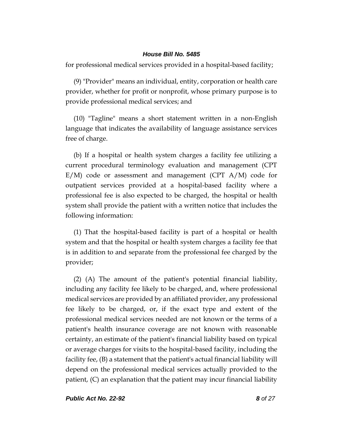for professional medical services provided in a hospital-based facility;

(9) "Provider" means an individual, entity, corporation or health care provider, whether for profit or nonprofit, whose primary purpose is to provide professional medical services; and

(10) "Tagline" means a short statement written in a non-English language that indicates the availability of language assistance services free of charge.

(b) If a hospital or health system charges a facility fee utilizing a current procedural terminology evaluation and management (CPT E/M) code or assessment and management (CPT A/M) code for outpatient services provided at a hospital-based facility where a professional fee is also expected to be charged, the hospital or health system shall provide the patient with a written notice that includes the following information:

(1) That the hospital-based facility is part of a hospital or health system and that the hospital or health system charges a facility fee that is in addition to and separate from the professional fee charged by the provider;

(2) (A) The amount of the patient's potential financial liability, including any facility fee likely to be charged, and, where professional medical services are provided by an affiliated provider, any professional fee likely to be charged, or, if the exact type and extent of the professional medical services needed are not known or the terms of a patient's health insurance coverage are not known with reasonable certainty, an estimate of the patient's financial liability based on typical or average charges for visits to the hospital-based facility, including the facility fee, (B) a statement that the patient's actual financial liability will depend on the professional medical services actually provided to the patient, (C) an explanation that the patient may incur financial liability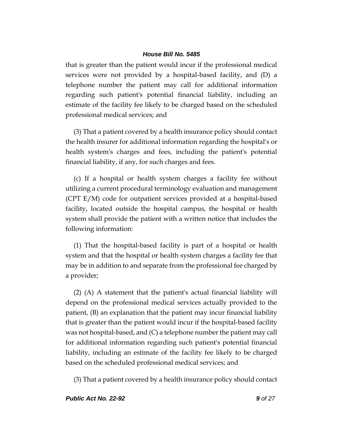that is greater than the patient would incur if the professional medical services were not provided by a hospital-based facility, and (D) a telephone number the patient may call for additional information regarding such patient's potential financial liability, including an estimate of the facility fee likely to be charged based on the scheduled professional medical services; and

(3) That a patient covered by a health insurance policy should contact the health insurer for additional information regarding the hospital's or health system's charges and fees, including the patient's potential financial liability, if any, for such charges and fees.

(c) If a hospital or health system charges a facility fee without utilizing a current procedural terminology evaluation and management (CPT E/M) code for outpatient services provided at a hospital-based facility, located outside the hospital campus, the hospital or health system shall provide the patient with a written notice that includes the following information:

(1) That the hospital-based facility is part of a hospital or health system and that the hospital or health system charges a facility fee that may be in addition to and separate from the professional fee charged by a provider;

(2) (A) A statement that the patient's actual financial liability will depend on the professional medical services actually provided to the patient, (B) an explanation that the patient may incur financial liability that is greater than the patient would incur if the hospital-based facility was not hospital-based, and (C) a telephone number the patient may call for additional information regarding such patient's potential financial liability, including an estimate of the facility fee likely to be charged based on the scheduled professional medical services; and

(3) That a patient covered by a health insurance policy should contact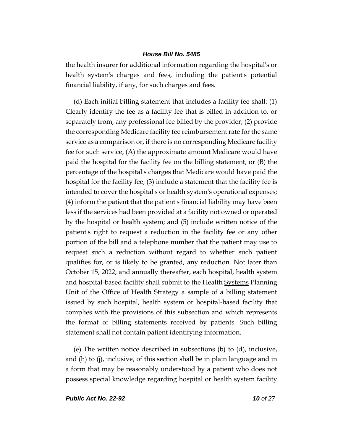the health insurer for additional information regarding the hospital's or health system's charges and fees, including the patient's potential financial liability, if any, for such charges and fees.

(d) Each initial billing statement that includes a facility fee shall: (1) Clearly identify the fee as a facility fee that is billed in addition to, or separately from, any professional fee billed by the provider; (2) provide the corresponding Medicare facility fee reimbursement rate for the same service as a comparison or, if there is no corresponding Medicare facility fee for such service, (A) the approximate amount Medicare would have paid the hospital for the facility fee on the billing statement, or (B) the percentage of the hospital's charges that Medicare would have paid the hospital for the facility fee; (3) include a statement that the facility fee is intended to cover the hospital's or health system's operational expenses; (4) inform the patient that the patient's financial liability may have been less if the services had been provided at a facility not owned or operated by the hospital or health system; and (5) include written notice of the patient's right to request a reduction in the facility fee or any other portion of the bill and a telephone number that the patient may use to request such a reduction without regard to whether such patient qualifies for, or is likely to be granted, any reduction. Not later than October 15, 2022, and annually thereafter, each hospital, health system and hospital-based facility shall submit to the Health Systems Planning Unit of the Office of Health Strategy a sample of a billing statement issued by such hospital, health system or hospital-based facility that complies with the provisions of this subsection and which represents the format of billing statements received by patients. Such billing statement shall not contain patient identifying information.

(e) The written notice described in subsections (b) to (d), inclusive, and (h) to (j), inclusive, of this section shall be in plain language and in a form that may be reasonably understood by a patient who does not possess special knowledge regarding hospital or health system facility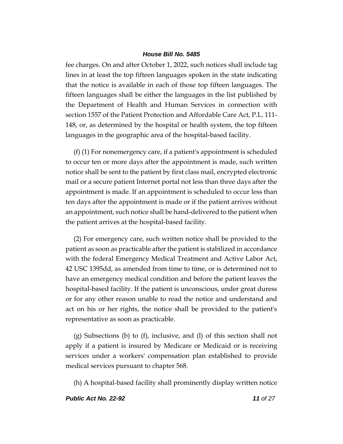fee charges. On and after October 1, 2022, such notices shall include tag lines in at least the top fifteen languages spoken in the state indicating that the notice is available in each of those top fifteen languages. The fifteen languages shall be either the languages in the list published by the Department of Health and Human Services in connection with section 1557 of the Patient Protection and Affordable Care Act, P.L. 111- 148, or, as determined by the hospital or health system, the top fifteen languages in the geographic area of the hospital-based facility.

(f) (1) For nonemergency care, if a patient's appointment is scheduled to occur ten or more days after the appointment is made, such written notice shall be sent to the patient by first class mail, encrypted electronic mail or a secure patient Internet portal not less than three days after the appointment is made. If an appointment is scheduled to occur less than ten days after the appointment is made or if the patient arrives without an appointment, such notice shall be hand-delivered to the patient when the patient arrives at the hospital-based facility.

(2) For emergency care, such written notice shall be provided to the patient as soon as practicable after the patient is stabilized in accordance with the federal Emergency Medical Treatment and Active Labor Act, 42 USC 1395dd, as amended from time to time, or is determined not to have an emergency medical condition and before the patient leaves the hospital-based facility. If the patient is unconscious, under great duress or for any other reason unable to read the notice and understand and act on his or her rights, the notice shall be provided to the patient's representative as soon as practicable.

(g) Subsections (b) to (f), inclusive, and (l) of this section shall not apply if a patient is insured by Medicare or Medicaid or is receiving services under a workers' compensation plan established to provide medical services pursuant to chapter 568.

(h) A hospital-based facility shall prominently display written notice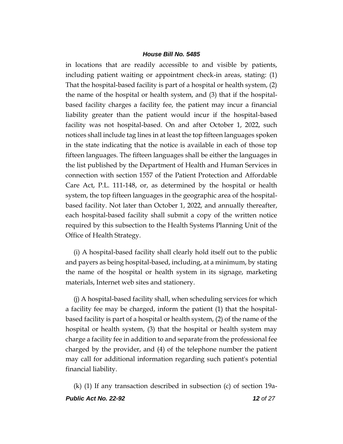in locations that are readily accessible to and visible by patients, including patient waiting or appointment check-in areas, stating: (1) That the hospital-based facility is part of a hospital or health system, (2) the name of the hospital or health system, and (3) that if the hospitalbased facility charges a facility fee, the patient may incur a financial liability greater than the patient would incur if the hospital-based facility was not hospital-based. On and after October 1, 2022, such notices shall include tag lines in at least the top fifteen languages spoken in the state indicating that the notice is available in each of those top fifteen languages. The fifteen languages shall be either the languages in the list published by the Department of Health and Human Services in connection with section 1557 of the Patient Protection and Affordable Care Act, P.L. 111-148, or, as determined by the hospital or health system, the top fifteen languages in the geographic area of the hospitalbased facility. Not later than October 1, 2022, and annually thereafter, each hospital-based facility shall submit a copy of the written notice required by this subsection to the Health Systems Planning Unit of the Office of Health Strategy.

(i) A hospital-based facility shall clearly hold itself out to the public and payers as being hospital-based, including, at a minimum, by stating the name of the hospital or health system in its signage, marketing materials, Internet web sites and stationery.

(j) A hospital-based facility shall, when scheduling services for which a facility fee may be charged, inform the patient (1) that the hospitalbased facility is part of a hospital or health system, (2) of the name of the hospital or health system, (3) that the hospital or health system may charge a facility fee in addition to and separate from the professional fee charged by the provider, and (4) of the telephone number the patient may call for additional information regarding such patient's potential financial liability.

*Public Act No. 22-92 12 of 27* (k) (1) If any transaction described in subsection (c) of section 19a-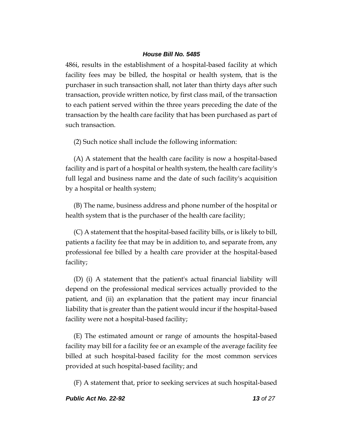486i, results in the establishment of a hospital-based facility at which facility fees may be billed, the hospital or health system, that is the purchaser in such transaction shall, not later than thirty days after such transaction, provide written notice, by first class mail, of the transaction to each patient served within the three years preceding the date of the transaction by the health care facility that has been purchased as part of such transaction.

(2) Such notice shall include the following information:

(A) A statement that the health care facility is now a hospital-based facility and is part of a hospital or health system, the health care facility's full legal and business name and the date of such facility's acquisition by a hospital or health system;

(B) The name, business address and phone number of the hospital or health system that is the purchaser of the health care facility;

(C) A statement that the hospital-based facility bills, or is likely to bill, patients a facility fee that may be in addition to, and separate from, any professional fee billed by a health care provider at the hospital-based facility;

(D) (i) A statement that the patient's actual financial liability will depend on the professional medical services actually provided to the patient, and (ii) an explanation that the patient may incur financial liability that is greater than the patient would incur if the hospital-based facility were not a hospital-based facility;

(E) The estimated amount or range of amounts the hospital-based facility may bill for a facility fee or an example of the average facility fee billed at such hospital-based facility for the most common services provided at such hospital-based facility; and

(F) A statement that, prior to seeking services at such hospital-based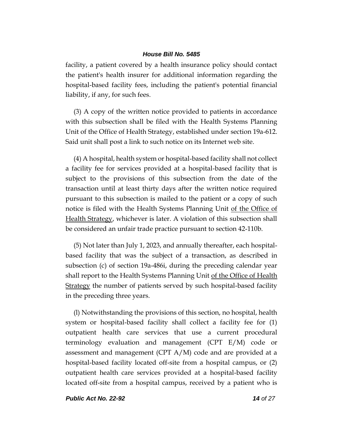facility, a patient covered by a health insurance policy should contact the patient's health insurer for additional information regarding the hospital-based facility fees, including the patient's potential financial liability, if any, for such fees.

(3) A copy of the written notice provided to patients in accordance with this subsection shall be filed with the Health Systems Planning Unit of the Office of Health Strategy, established under section 19a-612. Said unit shall post a link to such notice on its Internet web site.

(4) A hospital, health system or hospital-based facility shall not collect a facility fee for services provided at a hospital-based facility that is subject to the provisions of this subsection from the date of the transaction until at least thirty days after the written notice required pursuant to this subsection is mailed to the patient or a copy of such notice is filed with the Health Systems Planning Unit of the Office of Health Strategy, whichever is later. A violation of this subsection shall be considered an unfair trade practice pursuant to section 42-110b.

(5) Not later than July 1, 2023, and annually thereafter, each hospitalbased facility that was the subject of a transaction, as described in subsection (c) of section 19a-486i, during the preceding calendar year shall report to the Health Systems Planning Unit of the Office of Health Strategy the number of patients served by such hospital-based facility in the preceding three years.

(l) Notwithstanding the provisions of this section, no hospital, health system or hospital-based facility shall collect a facility fee for (1) outpatient health care services that use a current procedural terminology evaluation and management (CPT E/M) code or assessment and management (CPT A/M) code and are provided at a hospital-based facility located off-site from a hospital campus, or (2) outpatient health care services provided at a hospital-based facility located off-site from a hospital campus, received by a patient who is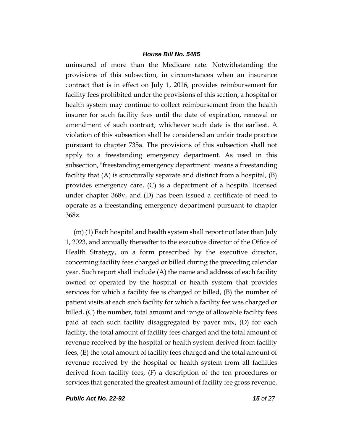uninsured of more than the Medicare rate. Notwithstanding the provisions of this subsection, in circumstances when an insurance contract that is in effect on July 1, 2016, provides reimbursement for facility fees prohibited under the provisions of this section, a hospital or health system may continue to collect reimbursement from the health insurer for such facility fees until the date of expiration, renewal or amendment of such contract, whichever such date is the earliest. A violation of this subsection shall be considered an unfair trade practice pursuant to chapter 735a. The provisions of this subsection shall not apply to a freestanding emergency department. As used in this subsection, "freestanding emergency department" means a freestanding facility that (A) is structurally separate and distinct from a hospital, (B) provides emergency care, (C) is a department of a hospital licensed under chapter 368v, and (D) has been issued a certificate of need to operate as a freestanding emergency department pursuant to chapter 368z.

(m) (1) Each hospital and health system shall report not later than July 1, 2023, and annually thereafter to the executive director of the Office of Health Strategy, on a form prescribed by the executive director, concerning facility fees charged or billed during the preceding calendar year. Such report shall include (A) the name and address of each facility owned or operated by the hospital or health system that provides services for which a facility fee is charged or billed, (B) the number of patient visits at each such facility for which a facility fee was charged or billed, (C) the number, total amount and range of allowable facility fees paid at each such facility disaggregated by payer mix, (D) for each facility, the total amount of facility fees charged and the total amount of revenue received by the hospital or health system derived from facility fees, (E) the total amount of facility fees charged and the total amount of revenue received by the hospital or health system from all facilities derived from facility fees, (F) a description of the ten procedures or services that generated the greatest amount of facility fee gross revenue,

*Public Act No. 22-92 15 of 27*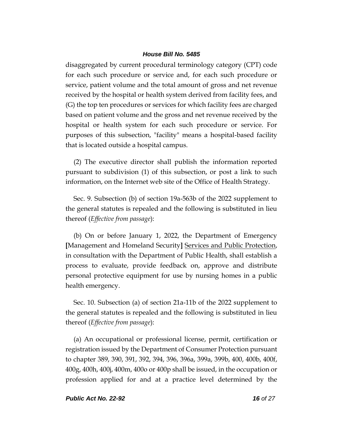disaggregated by current procedural terminology category (CPT) code for each such procedure or service and, for each such procedure or service, patient volume and the total amount of gross and net revenue received by the hospital or health system derived from facility fees, and (G) the top ten procedures or services for which facility fees are charged based on patient volume and the gross and net revenue received by the hospital or health system for each such procedure or service. For purposes of this subsection, "facility" means a hospital-based facility that is located outside a hospital campus.

(2) The executive director shall publish the information reported pursuant to subdivision (1) of this subsection, or post a link to such information, on the Internet web site of the Office of Health Strategy.

Sec. 9. Subsection (b) of section 19a-563b of the 2022 supplement to the general statutes is repealed and the following is substituted in lieu thereof (*Effective from passage*):

(b) On or before January 1, 2022, the Department of Emergency **[**Management and Homeland Security**]** Services and Public Protection, in consultation with the Department of Public Health, shall establish a process to evaluate, provide feedback on, approve and distribute personal protective equipment for use by nursing homes in a public health emergency.

Sec. 10. Subsection (a) of section 21a-11b of the 2022 supplement to the general statutes is repealed and the following is substituted in lieu thereof (*Effective from passage*):

(a) An occupational or professional license, permit, certification or registration issued by the Department of Consumer Protection pursuant to chapter 389, 390, 391, 392, 394, 396, 396a, 399a, 399b, 400, 400b, 400f, 400g, 400h, 400j, 400m, 400o or 400p shall be issued, in the occupation or profession applied for and at a practice level determined by the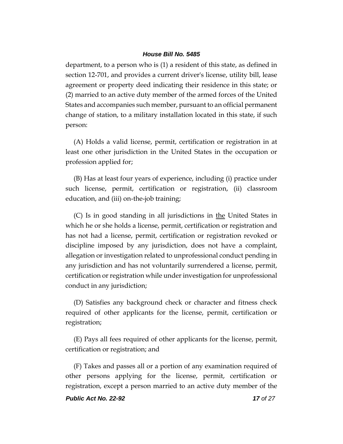department, to a person who is (1) a resident of this state, as defined in section 12-701, and provides a current driver's license, utility bill, lease agreement or property deed indicating their residence in this state; or (2) married to an active duty member of the armed forces of the United States and accompanies such member, pursuant to an official permanent change of station, to a military installation located in this state, if such person:

(A) Holds a valid license, permit, certification or registration in at least one other jurisdiction in the United States in the occupation or profession applied for;

(B) Has at least four years of experience, including (i) practice under such license, permit, certification or registration, (ii) classroom education, and (iii) on-the-job training;

(C) Is in good standing in all jurisdictions in the United States in which he or she holds a license, permit, certification or registration and has not had a license, permit, certification or registration revoked or discipline imposed by any jurisdiction, does not have a complaint, allegation or investigation related to unprofessional conduct pending in any jurisdiction and has not voluntarily surrendered a license, permit, certification or registration while under investigation for unprofessional conduct in any jurisdiction;

(D) Satisfies any background check or character and fitness check required of other applicants for the license, permit, certification or registration;

(E) Pays all fees required of other applicants for the license, permit, certification or registration; and

(F) Takes and passes all or a portion of any examination required of other persons applying for the license, permit, certification or registration, except a person married to an active duty member of the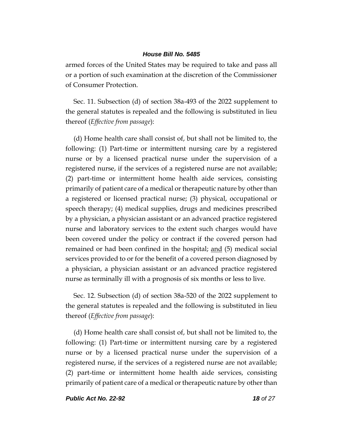armed forces of the United States may be required to take and pass all or a portion of such examination at the discretion of the Commissioner of Consumer Protection.

Sec. 11. Subsection (d) of section 38a-493 of the 2022 supplement to the general statutes is repealed and the following is substituted in lieu thereof (*Effective from passage*):

(d) Home health care shall consist of, but shall not be limited to, the following: (1) Part-time or intermittent nursing care by a registered nurse or by a licensed practical nurse under the supervision of a registered nurse, if the services of a registered nurse are not available; (2) part-time or intermittent home health aide services, consisting primarily of patient care of a medical or therapeutic nature by other than a registered or licensed practical nurse; (3) physical, occupational or speech therapy; (4) medical supplies, drugs and medicines prescribed by a physician, a physician assistant or an advanced practice registered nurse and laboratory services to the extent such charges would have been covered under the policy or contract if the covered person had remained or had been confined in the hospital; <u>and</u> (5) medical social services provided to or for the benefit of a covered person diagnosed by a physician, a physician assistant or an advanced practice registered nurse as terminally ill with a prognosis of six months or less to live.

Sec. 12. Subsection (d) of section 38a-520 of the 2022 supplement to the general statutes is repealed and the following is substituted in lieu thereof (*Effective from passage*):

(d) Home health care shall consist of, but shall not be limited to, the following: (1) Part-time or intermittent nursing care by a registered nurse or by a licensed practical nurse under the supervision of a registered nurse, if the services of a registered nurse are not available; (2) part-time or intermittent home health aide services, consisting primarily of patient care of a medical or therapeutic nature by other than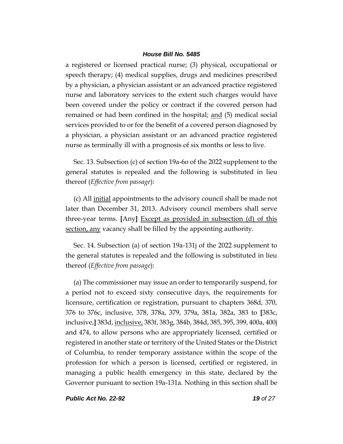a registered or licensed practical nurse; (3) physical, occupational or speech therapy; (4) medical supplies, drugs and medicines prescribed by a physician, a physician assistant or an advanced practice registered nurse and laboratory services to the extent such charges would have been covered under the policy or contract if the covered person had remained or had been confined in the hospital; and (5) medical social services provided to or for the benefit of a covered person diagnosed by a physician, a physician assistant or an advanced practice registered nurse as terminally ill with a prognosis of six months or less to live.

Sec. 13. Subsection (c) of section 19a-6o of the 2022 supplement to the general statutes is repealed and the following is substituted in lieu thereof (*Effective from passage*):

(c) All <u>initial</u> appointments to the advisory council shall be made not later than December 31, 2013. Advisory council members shall serve three-year terms. **[**Any**]** Except as provided in subsection (d) of this section, any vacancy shall be filled by the appointing authority.

Sec. 14. Subsection (a) of section 19a-131j of the 2022 supplement to the general statutes is repealed and the following is substituted in lieu thereof (*Effective from passage*):

(a) The commissioner may issue an order to temporarily suspend, for a period not to exceed sixty consecutive days, the requirements for licensure, certification or registration, pursuant to chapters 368d, 370, 376 to 376c, inclusive, 378, 378a, 379, 379a, 381a, 382a, 383 to **[**383c, inclusive,**]** 383d, inclusive, 383f, 383g, 384b, 384d, 385, 395, 399, 400a, 400j and 474, to allow persons who are appropriately licensed, certified or registered in another state or territory of the United States or the District of Columbia, to render temporary assistance within the scope of the profession for which a person is licensed, certified or registered, in managing a public health emergency in this state, declared by the Governor pursuant to section 19a-131a. Nothing in this section shall be

*Public Act No. 22-92 19 of 27*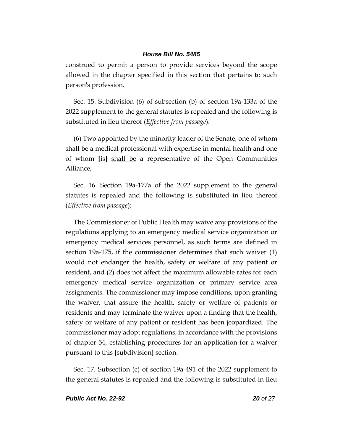construed to permit a person to provide services beyond the scope allowed in the chapter specified in this section that pertains to such person's profession.

Sec. 15. Subdivision (6) of subsection (b) of section 19a-133a of the 2022 supplement to the general statutes is repealed and the following is substituted in lieu thereof (*Effective from passage*):

(6) Two appointed by the minority leader of the Senate, one of whom shall be a medical professional with expertise in mental health and one of whom **[**is**]** shall be a representative of the Open Communities Alliance;

Sec. 16. Section 19a-177a of the 2022 supplement to the general statutes is repealed and the following is substituted in lieu thereof (*Effective from passage*):

The Commissioner of Public Health may waive any provisions of the regulations applying to an emergency medical service organization or emergency medical services personnel, as such terms are defined in section 19a-175, if the commissioner determines that such waiver (1) would not endanger the health, safety or welfare of any patient or resident, and (2) does not affect the maximum allowable rates for each emergency medical service organization or primary service area assignments. The commissioner may impose conditions, upon granting the waiver, that assure the health, safety or welfare of patients or residents and may terminate the waiver upon a finding that the health, safety or welfare of any patient or resident has been jeopardized. The commissioner may adopt regulations, in accordance with the provisions of chapter 54, establishing procedures for an application for a waiver pursuant to this **[**subdivision**]** section.

Sec. 17. Subsection (c) of section 19a-491 of the 2022 supplement to the general statutes is repealed and the following is substituted in lieu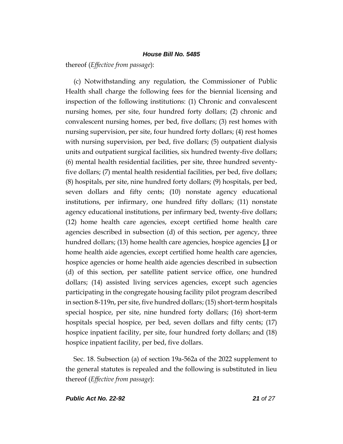thereof (*Effective from passage*):

(c) Notwithstanding any regulation, the Commissioner of Public Health shall charge the following fees for the biennial licensing and inspection of the following institutions: (1) Chronic and convalescent nursing homes, per site, four hundred forty dollars; (2) chronic and convalescent nursing homes, per bed, five dollars; (3) rest homes with nursing supervision, per site, four hundred forty dollars; (4) rest homes with nursing supervision, per bed, five dollars; (5) outpatient dialysis units and outpatient surgical facilities, six hundred twenty-five dollars; (6) mental health residential facilities, per site, three hundred seventyfive dollars; (7) mental health residential facilities, per bed, five dollars; (8) hospitals, per site, nine hundred forty dollars; (9) hospitals, per bed, seven dollars and fifty cents; (10) nonstate agency educational institutions, per infirmary, one hundred fifty dollars; (11) nonstate agency educational institutions, per infirmary bed, twenty-five dollars; (12) home health care agencies, except certified home health care agencies described in subsection (d) of this section, per agency, three hundred dollars; (13) home health care agencies, hospice agencies **[**,**]** or home health aide agencies, except certified home health care agencies, hospice agencies or home health aide agencies described in subsection (d) of this section, per satellite patient service office, one hundred dollars; (14) assisted living services agencies, except such agencies participating in the congregate housing facility pilot program described in section 8-119n, per site, five hundred dollars; (15) short-term hospitals special hospice, per site, nine hundred forty dollars; (16) short-term hospitals special hospice, per bed, seven dollars and fifty cents; (17) hospice inpatient facility, per site, four hundred forty dollars; and (18) hospice inpatient facility, per bed, five dollars.

Sec. 18. Subsection (a) of section 19a-562a of the 2022 supplement to the general statutes is repealed and the following is substituted in lieu thereof (*Effective from passage*):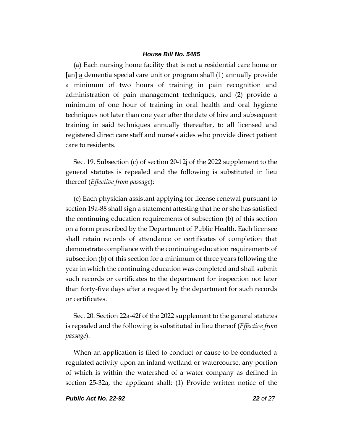(a) Each nursing home facility that is not a residential care home or **[**an**]** a dementia special care unit or program shall (1) annually provide a minimum of two hours of training in pain recognition and administration of pain management techniques, and (2) provide a minimum of one hour of training in oral health and oral hygiene techniques not later than one year after the date of hire and subsequent training in said techniques annually thereafter, to all licensed and registered direct care staff and nurse's aides who provide direct patient care to residents.

Sec. 19. Subsection (c) of section 20-12j of the 2022 supplement to the general statutes is repealed and the following is substituted in lieu thereof (*Effective from passage*):

(c) Each physician assistant applying for license renewal pursuant to section 19a-88 shall sign a statement attesting that he or she has satisfied the continuing education requirements of subsection (b) of this section on a form prescribed by the Department of <u>Public</u> Health. Each licensee shall retain records of attendance or certificates of completion that demonstrate compliance with the continuing education requirements of subsection (b) of this section for a minimum of three years following the year in which the continuing education was completed and shall submit such records or certificates to the department for inspection not later than forty-five days after a request by the department for such records or certificates.

Sec. 20. Section 22a-42f of the 2022 supplement to the general statutes is repealed and the following is substituted in lieu thereof (*Effective from passage*):

When an application is filed to conduct or cause to be conducted a regulated activity upon an inland wetland or watercourse, any portion of which is within the watershed of a water company as defined in section 25-32a, the applicant shall: (1) Provide written notice of the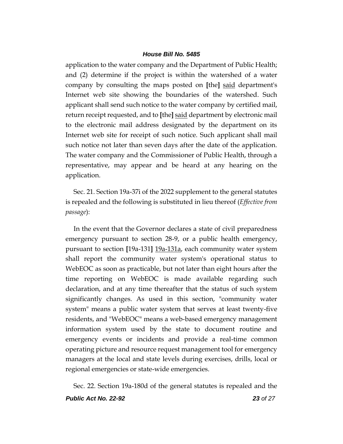application to the water company and the Department of Public Health; and (2) determine if the project is within the watershed of a water company by consulting the maps posted on **[**the**]** said department's Internet web site showing the boundaries of the watershed. Such applicant shall send such notice to the water company by certified mail, return receipt requested, and to **[**the**]** said department by electronic mail to the electronic mail address designated by the department on its Internet web site for receipt of such notice. Such applicant shall mail such notice not later than seven days after the date of the application. The water company and the Commissioner of Public Health, through a representative, may appear and be heard at any hearing on the application.

Sec. 21. Section 19a-37i of the 2022 supplement to the general statutes is repealed and the following is substituted in lieu thereof (*Effective from passage*):

In the event that the Governor declares a state of civil preparedness emergency pursuant to section 28-9, or a public health emergency, pursuant to section **[**19a-131**]** 19a-131a, each community water system shall report the community water system's operational status to WebEOC as soon as practicable, but not later than eight hours after the time reporting on WebEOC is made available regarding such declaration, and at any time thereafter that the status of such system significantly changes. As used in this section, "community water system" means a public water system that serves at least twenty-five residents, and "WebEOC" means a web-based emergency management information system used by the state to document routine and emergency events or incidents and provide a real-time common operating picture and resource request management tool for emergency managers at the local and state levels during exercises, drills, local or regional emergencies or state-wide emergencies.

Sec. 22. Section 19a-180d of the general statutes is repealed and the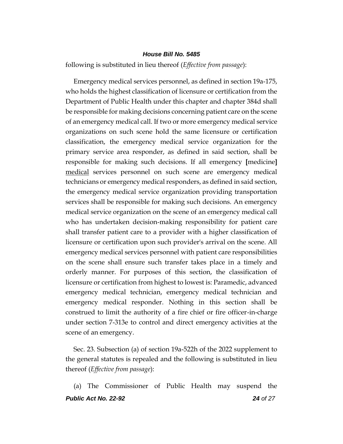following is substituted in lieu thereof (*Effective from passage*):

Emergency medical services personnel, as defined in section 19a-175, who holds the highest classification of licensure or certification from the Department of Public Health under this chapter and chapter 384d shall be responsible for making decisions concerning patient care on the scene of an emergency medical call. If two or more emergency medical service organizations on such scene hold the same licensure or certification classification, the emergency medical service organization for the primary service area responder, as defined in said section, shall be responsible for making such decisions. If all emergency **[**medicine**]** medical services personnel on such scene are emergency medical technicians or emergency medical responders, as defined in said section, the emergency medical service organization providing transportation services shall be responsible for making such decisions. An emergency medical service organization on the scene of an emergency medical call who has undertaken decision-making responsibility for patient care shall transfer patient care to a provider with a higher classification of licensure or certification upon such provider's arrival on the scene. All emergency medical services personnel with patient care responsibilities on the scene shall ensure such transfer takes place in a timely and orderly manner. For purposes of this section, the classification of licensure or certification from highest to lowest is: Paramedic, advanced emergency medical technician, emergency medical technician and emergency medical responder. Nothing in this section shall be construed to limit the authority of a fire chief or fire officer-in-charge under section 7-313e to control and direct emergency activities at the scene of an emergency.

Sec. 23. Subsection (a) of section 19a-522h of the 2022 supplement to the general statutes is repealed and the following is substituted in lieu thereof (*Effective from passage*):

*Public Act No. 22-92 24 of 27* (a) The Commissioner of Public Health may suspend the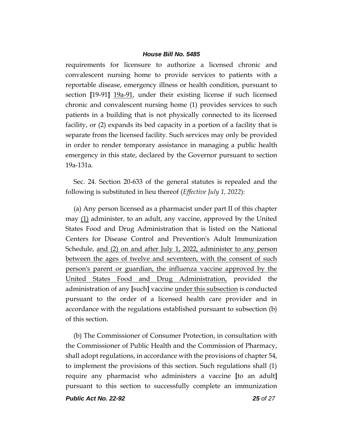requirements for licensure to authorize a licensed chronic and convalescent nursing home to provide services to patients with a reportable disease, emergency illness or health condition, pursuant to section **[**19-91**]** 19a-91, under their existing license if such licensed chronic and convalescent nursing home (1) provides services to such patients in a building that is not physically connected to its licensed facility, or (2) expands its bed capacity in a portion of a facility that is separate from the licensed facility. Such services may only be provided in order to render temporary assistance in managing a public health emergency in this state, declared by the Governor pursuant to section 19a-131a.

Sec. 24. Section 20-633 of the general statutes is repealed and the following is substituted in lieu thereof (*Effective July 1, 2022*):

(a) Any person licensed as a pharmacist under part II of this chapter may (1) administer, to an adult, any vaccine, approved by the United States Food and Drug Administration that is listed on the National Centers for Disease Control and Prevention's Adult Immunization Schedule, and (2) on and after July 1, 2022, administer to any person between the ages of twelve and seventeen, with the consent of such person's parent or guardian, the influenza vaccine approved by the United States Food and Drug Administration, provided the administration of any **[**such**]** vaccine under this subsection is conducted pursuant to the order of a licensed health care provider and in accordance with the regulations established pursuant to subsection (b) of this section.

(b) The Commissioner of Consumer Protection, in consultation with the Commissioner of Public Health and the Commission of Pharmacy, shall adopt regulations, in accordance with the provisions of chapter 54, to implement the provisions of this section. Such regulations shall (1) require any pharmacist who administers a vaccine **[**to an adult**]** pursuant to this section to successfully complete an immunization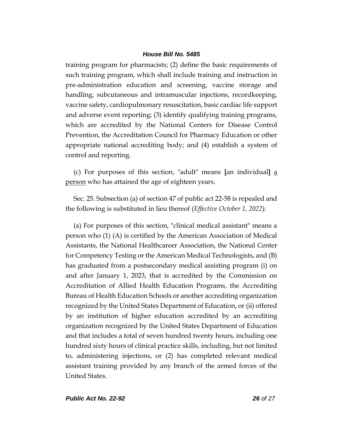training program for pharmacists; (2) define the basic requirements of such training program, which shall include training and instruction in pre-administration education and screening, vaccine storage and handling, subcutaneous and intramuscular injections, recordkeeping, vaccine safety, cardiopulmonary resuscitation, basic cardiac life support and adverse event reporting; (3) identify qualifying training programs, which are accredited by the National Centers for Disease Control Prevention, the Accreditation Council for Pharmacy Education or other appropriate national accrediting body; and (4) establish a system of control and reporting.

(c) For purposes of this section, "adult" means **[**an individual**]** a person who has attained the age of eighteen years.

Sec. 25. Subsection (a) of section 47 of public act 22-58 is repealed and the following is substituted in lieu thereof (*Effective October 1, 2022*):

(a) For purposes of this section, "clinical medical assistant" means a person who (1) (A) is certified by the American Association of Medical Assistants, the National Healthcareer Association, the National Center for Competency Testing or the American Medical Technologists, and (B) has graduated from a postsecondary medical assisting program (i) on and after January 1, 2023, that is accredited by the Commission on Accreditation of Allied Health Education Programs, the Accrediting Bureau of Health Education Schools or another accrediting organization recognized by the United States Department of Education, or (ii) offered by an institution of higher education accredited by an accrediting organization recognized by the United States Department of Education and that includes a total of seven hundred twenty hours, including one hundred sixty hours of clinical practice skills, including, but not limited to, administering injections, or (2) has completed relevant medical assistant training provided by any branch of the armed forces of the United States.